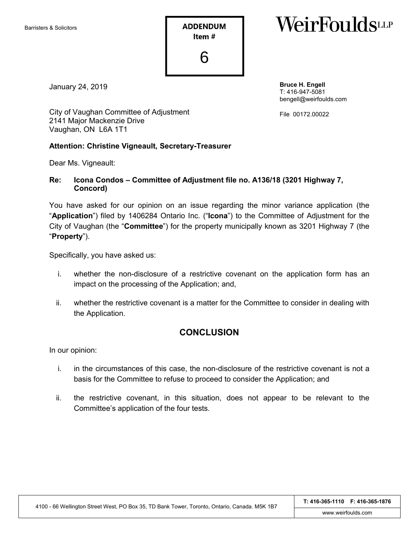**ADDENDUM** Item# 6

# WeirFouldswr

January 24, 2019

**Bruce H. Engell** T: 416-947-5081 bengell@weirfoulds.com

File 00172.00022

City of Vaughan Committee of Adjustment 2141 Major Mackenzie Drive Vaughan, ON L6A 1T1

#### **Attention: Christine Vigneault, Secretary-Treasurer**

Dear Ms. Vigneault:

#### **Re: Icona Condos – Committee of Adjustment file no. A136/18 (3201 Highway 7, Concord)**

You have asked for our opinion on an issue regarding the minor variance application (the "**Application**") filed by 1406284 Ontario Inc. ("**Icona**") to the Committee of Adjustment for the City of Vaughan (the "**Committee**") for the property municipally known as 3201 Highway 7 (the "**Property**").

Specifically, you have asked us:

- i. whether the non-disclosure of a restrictive covenant on the application form has an impact on the processing of the Application; and,
- ii. whether the restrictive covenant is a matter for the Committee to consider in dealing with the Application.

### **CONCLUSION**

In our opinion:

- i. in the circumstances of this case, the non-disclosure of the restrictive covenant is not a basis for the Committee to refuse to proceed to consider the Application; and
- ii. the restrictive covenant, in this situation, does not appear to be relevant to the Committee's application of the four tests.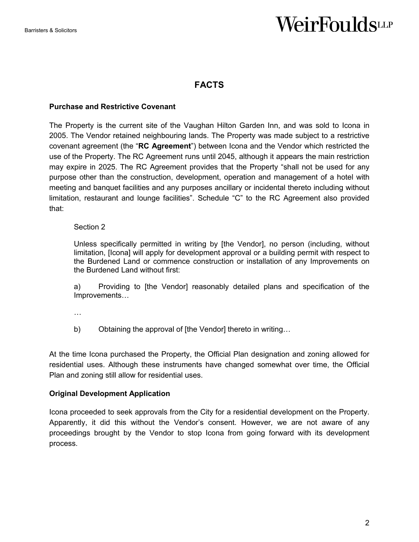### **FACTS**

#### **Purchase and Restrictive Covenant**

The Property is the current site of the Vaughan Hilton Garden Inn, and was sold to Icona in 2005. The Vendor retained neighbouring lands. The Property was made subject to a restrictive covenant agreement (the "**RC Agreement**") between Icona and the Vendor which restricted the use of the Property. The RC Agreement runs until 2045, although it appears the main restriction may expire in 2025. The RC Agreement provides that the Property "shall not be used for any purpose other than the construction, development, operation and management of a hotel with meeting and banquet facilities and any purposes ancillary or incidental thereto including without limitation, restaurant and lounge facilities". Schedule "C" to the RC Agreement also provided that:

#### Section 2

Unless specifically permitted in writing by [the Vendor], no person (including, without limitation, [Icona] will apply for development approval or a building permit with respect to the Burdened Land or commence construction or installation of any Improvements on the Burdened Land without first:

a) Providing to [the Vendor] reasonably detailed plans and specification of the Improvements…

…

b) Obtaining the approval of [the Vendor] thereto in writing...

At the time Icona purchased the Property, the Official Plan designation and zoning allowed for residential uses. Although these instruments have changed somewhat over time, the Official Plan and zoning still allow for residential uses.

#### **Original Development Application**

Icona proceeded to seek approvals from the City for a residential development on the Property. Apparently, it did this without the Vendor's consent. However, we are not aware of any proceedings brought by the Vendor to stop Icona from going forward with its development process.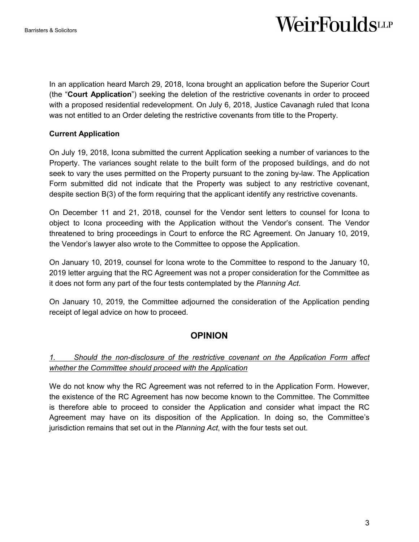In an application heard March 29, 2018, Icona brought an application before the Superior Court (the "**Court Application**") seeking the deletion of the restrictive covenants in order to proceed with a proposed residential redevelopment. On July 6, 2018, Justice Cavanagh ruled that Icona was not entitled to an Order deleting the restrictive covenants from title to the Property.

### **Current Application**

On July 19, 2018, Icona submitted the current Application seeking a number of variances to the Property. The variances sought relate to the built form of the proposed buildings, and do not seek to vary the uses permitted on the Property pursuant to the zoning by-law. The Application Form submitted did not indicate that the Property was subject to any restrictive covenant, despite section B(3) of the form requiring that the applicant identify any restrictive covenants.

On December 11 and 21, 2018, counsel for the Vendor sent letters to counsel for Icona to object to Icona proceeding with the Application without the Vendor's consent. The Vendor threatened to bring proceedings in Court to enforce the RC Agreement. On January 10, 2019, the Vendor's lawyer also wrote to the Committee to oppose the Application.

On January 10, 2019, counsel for Icona wrote to the Committee to respond to the January 10, 2019 letter arguing that the RC Agreement was not a proper consideration for the Committee as it does not form any part of the four tests contemplated by the *Planning Act*.

On January 10, 2019, the Committee adjourned the consideration of the Application pending receipt of legal advice on how to proceed.

## **OPINION**

### *1. Should the non-disclosure of the restrictive covenant on the Application Form affect whether the Committee should proceed with the Application*

We do not know why the RC Agreement was not referred to in the Application Form. However, the existence of the RC Agreement has now become known to the Committee. The Committee is therefore able to proceed to consider the Application and consider what impact the RC Agreement may have on its disposition of the Application. In doing so, the Committee's jurisdiction remains that set out in the *Planning Act*, with the four tests set out.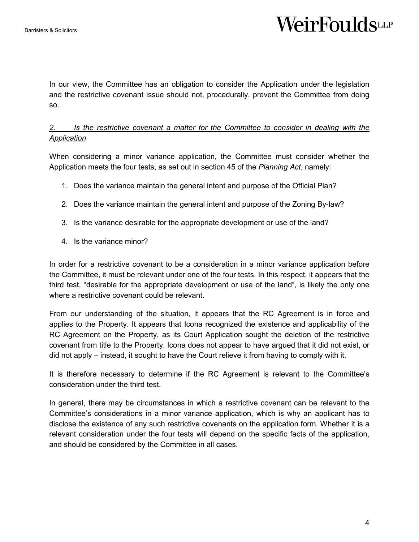In our view, the Committee has an obligation to consider the Application under the legislation and the restrictive covenant issue should not, procedurally, prevent the Committee from doing so.

### *2. Is the restrictive covenant a matter for the Committee to consider in dealing with the Application*

When considering a minor variance application, the Committee must consider whether the Application meets the four tests, as set out in section 45 of the *Planning Act*, namely:

- 1. Does the variance maintain the general intent and purpose of the Official Plan?
- 2. Does the variance maintain the general intent and purpose of the Zoning By-law?
- 3. Is the variance desirable for the appropriate development or use of the land?
- 4. Is the variance minor?

In order for a restrictive covenant to be a consideration in a minor variance application before the Committee, it must be relevant under one of the four tests. In this respect, it appears that the third test, "desirable for the appropriate development or use of the land", is likely the only one where a restrictive covenant could be relevant.

From our understanding of the situation, it appears that the RC Agreement is in force and applies to the Property. It appears that Icona recognized the existence and applicability of the RC Agreement on the Property, as its Court Application sought the deletion of the restrictive covenant from title to the Property. Icona does not appear to have argued that it did not exist, or did not apply – instead, it sought to have the Court relieve it from having to comply with it.

It is therefore necessary to determine if the RC Agreement is relevant to the Committee's consideration under the third test.

In general, there may be circumstances in which a restrictive covenant can be relevant to the Committee's considerations in a minor variance application, which is why an applicant has to disclose the existence of any such restrictive covenants on the application form. Whether it is a relevant consideration under the four tests will depend on the specific facts of the application, and should be considered by the Committee in all cases.